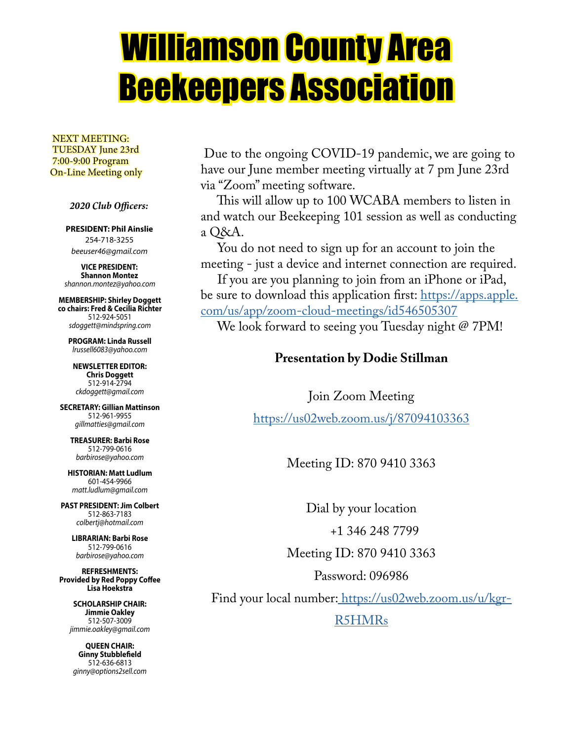# Williamson County Area Beekeepers Association

 NEXT MEETING: TUESDAY June 23rd 7:00-9:00 Program On-Line Meeting only

 *2020 Club Officers:*

#### **PRESIDENT: Phil Ainslie** 254-718-3255 *beeuser46@gmail.com*

**VICE PRESIDENT: Shannon Montez** *shannon.montez@yahoo.com*

**MEMBERSHIP: Shirley Doggett co chairs: Fred & Cecilia Richter** 512-924-5051 *sdoggett@mindspring.com*

**PROGRAM: Linda Russell** *lrussell6083@yahoo.com*

**NEWSLETTER EDITOR: Chris Doggett** 512-914-2794 *ckdoggett@gmail.com*

**SECRETARY: Gillian Mattinson** 512-961-9955 *gillmatties@gmail.com*

**TREASURER: Barbi Rose** 512-799-0616 *barbirose@yahoo.com*

**HISTORIAN: Matt Ludlum** 601-454-9966 *matt.ludlum@gmail.com*

**PAST PRESIDENT: Jim Colbert** 512-863-7183 *colbertj@hotmail.com*

**LIBRARIAN: Barbi Rose** 512-799-0616 *barbirose@yahoo.com*

**REFRESHMENTS: Provided by Red Poppy Coffee Lisa Hoekstra**

> **SCHOLARSHIP CHAIR: Jimmie Oakley** 512-507-3009 *jimmie.oakley@gmail.com*

**QUEEN CHAIR: Ginny Stubblefield** 512-636-6813 *ginny@options2sell.com*

 Due to the ongoing COVID-19 pandemic, we are going to have our June member meeting virtually at 7 pm June 23rd via "Zoom" meeting software.

 This will allow up to 100 WCABA members to listen in and watch our Beekeeping 101 session as well as conducting a Q&A.

 You do not need to sign up for an account to join the meeting - just a device and internet connection are required.

 If you are you planning to join from an iPhone or iPad, be sure to download this application first: https://apps.apple. com/us/app/zoom-cloud-meetings/id546505307

We look forward to seeing you Tuesday night @ 7PM!

#### **Presentation by Dodie Stillman**

Join Zoom Meeting https://us02web.zoom.us/j/87094103363

Meeting ID: 870 9410 3363

Dial by your location

+1 346 248 7799

Meeting ID: 870 9410 3363

Password: 096986

Find your local number: https://us02web.zoom.us/u/kgr-

R5HMRs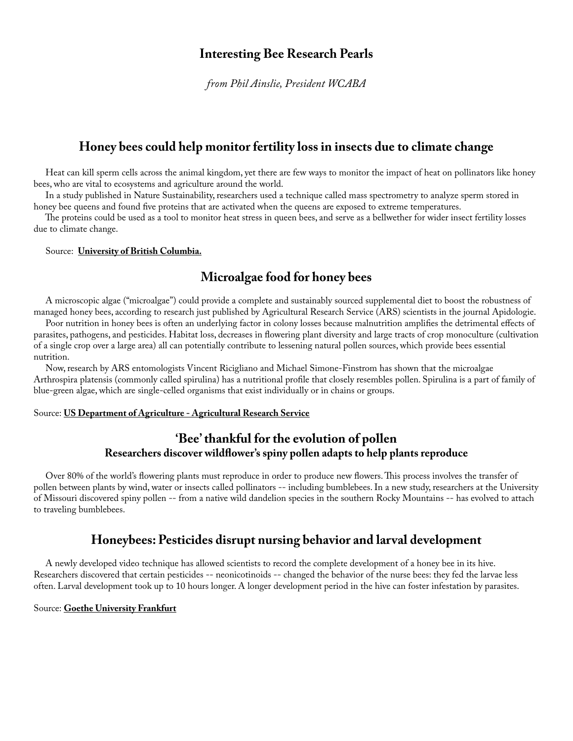#### **Interesting Bee Research Pearls**

*from Phil Ainslie, President WCABA*

#### **Honey bees could help monitor fertility loss in insects due to climate change**

 Heat can kill sperm cells across the animal kingdom, yet there are few ways to monitor the impact of heat on pollinators like honey bees, who are vital to ecosystems and agriculture around the world.

 In a study published in Nature Sustainability, researchers used a technique called mass spectrometry to analyze sperm stored in honey bee queens and found five proteins that are activated when the queens are exposed to extreme temperatures.

 The proteins could be used as a tool to monitor heat stress in queen bees, and serve as a bellwether for wider insect fertility losses due to climate change.

#### Source: **University of British Columbia.**

#### **Microalgae food for honey bees**

 A microscopic algae ("microalgae") could provide a complete and sustainably sourced supplemental diet to boost the robustness of managed honey bees, according to research just published by Agricultural Research Service (ARS) scientists in the journal Apidologie.

 Poor nutrition in honey bees is often an underlying factor in colony losses because malnutrition amplifies the detrimental effects of parasites, pathogens, and pesticides. Habitat loss, decreases in flowering plant diversity and large tracts of crop monoculture (cultivation of a single crop over a large area) all can potentially contribute to lessening natural pollen sources, which provide bees essential nutrition.

 Now, research by ARS entomologists Vincent Ricigliano and Michael Simone-Finstrom has shown that the microalgae Arthrospira platensis (commonly called spirulina) has a nutritional profile that closely resembles pollen. Spirulina is a part of family of blue-green algae, which are single-celled organisms that exist individually or in chains or groups.

#### Source: **US Department of Agriculture - Agricultural Research Service**

#### **'Bee' thankful for the evolution of pollen Researchers discover wildflower's spiny pollen adapts to help plants reproduce**

 Over 80% of the world's flowering plants must reproduce in order to produce new flowers. This process involves the transfer of pollen between plants by wind, water or insects called pollinators -- including bumblebees. In a new study, researchers at the University of Missouri discovered spiny pollen -- from a native wild dandelion species in the southern Rocky Mountains -- has evolved to attach to traveling bumblebees.

#### **Honeybees: Pesticides disrupt nursing behavior and larval development**

 A newly developed video technique has allowed scientists to record the complete development of a honey bee in its hive. Researchers discovered that certain pesticides -- neonicotinoids -- changed the behavior of the nurse bees: they fed the larvae less often. Larval development took up to 10 hours longer. A longer development period in the hive can foster infestation by parasites.

#### Source: **Goethe University Frankfurt**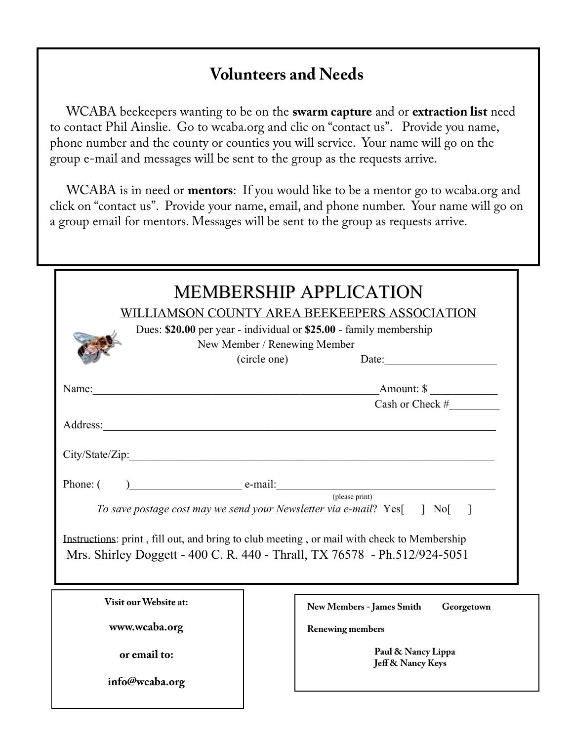### **Volunteers and Needs**

 WCABA beekeepers wanting to be on the **swarm capture** and or **extraction list** need to contact Phil Ainslie. Go to wcaba.org and clic on "contact us". Provide you name, phone number and the county or counties you will service. Your name will go on the group e-mail and messages will be sent to the group as the requests arrive.

 WCABA is in need or **mentors**: If you would like to be a mentor go to wcaba.org and click on "contact us". Provide your name, email, and phone number. Your name will go on a group email for mentors. Messages will be sent to the group as requests arrive.

| <b>MEMBERSHIP APPLICATION</b><br>WILLIAMSON COUNTY AREA BEEKEEPERS ASSOCIATION<br>Dues: \$20.00 per year - individual or \$25.00 - family membership<br>New Member / Renewing Member<br>(circle one)                                                                  |                                                |
|-----------------------------------------------------------------------------------------------------------------------------------------------------------------------------------------------------------------------------------------------------------------------|------------------------------------------------|
| Name: Name:                                                                                                                                                                                                                                                           | Amount: \$                                     |
|                                                                                                                                                                                                                                                                       |                                                |
|                                                                                                                                                                                                                                                                       |                                                |
| ( please print)<br>To save postage cost may we send your Newsletter via e-mail? Yes[] No[]<br>Instructions: print, fill out, and bring to club meeting, or mail with check to Membership<br>Mrs. Shirley Doggett - 400 C. R. 440 - Thrall, TX 76578 - Ph.512/924-5051 |                                                |
| Visit our Website at:                                                                                                                                                                                                                                                 | <b>New Members - James Smith</b><br>Georgetown |
| www.wcaba.org                                                                                                                                                                                                                                                         | <b>Renewing members</b>                        |
| or email to:                                                                                                                                                                                                                                                          | Paul & Nancy Lippa<br>Jeff & Nancy Keys        |
| info@wcaba.org                                                                                                                                                                                                                                                        |                                                |

**I want to order:** *Are you a current member? [ ] Yes!* please print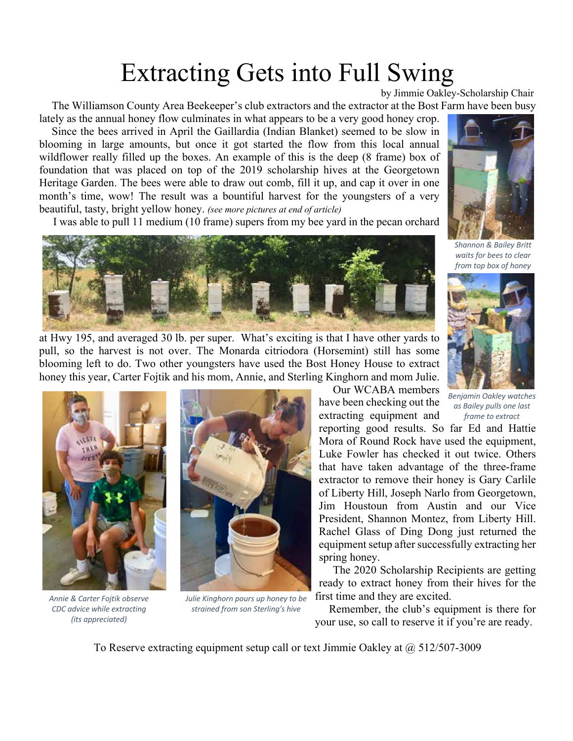# Extracting Gets into Full Swing

by Jimmie Oakley-Scholarship Chair

 The Williamson County Area Beekeeper's club extractors and the extractor at the Bost Farm have been busy lately as the annual honey flow culminates in what appears to be a very good honey crop.

 Since the bees arrived in April the Gaillardia (Indian Blanket) seemed to be slow in blooming in large amounts, but once it got started the flow from this local annual wildflower really filled up the boxes. An example of this is the deep (8 frame) box of foundation that was placed on top of the 2019 scholarship hives at the Georgetown Heritage Garden. The bees were able to draw out comb, fill it up, and cap it over in one month's time, wow! The result was a bountiful harvest for the youngsters of a very beautiful, tasty, bright yellow honey. *(see more pictures at end of article)*

I was able to pull 11 medium (10 frame) supers from my bee yard in the pecan orchard



at Hwy 195, and averaged 30 lb. per super. What's exciting is that I have other yards to pull, so the harvest is not over. The Monarda citriodora (Horsemint) still has some blooming left to do. Two other youngsters have used the Bost Honey House to extract honey this year, Carter Fojtik and his mom, Annie, and Sterling Kinghorn and mom Julie.



*Annie & Carter Fojtik observe CDC advice while extracting (its appreciated)*



*Julie Kinghorn pours up honey to be strained from son Sterling's hive*

 Our WCABA members have been checking out the extracting equipment and

reporting good results. So far Ed and Hattie Mora of Round Rock have used the equipment, Luke Fowler has checked it out twice. Others that have taken advantage of the three-frame extractor to remove their honey is Gary Carlile of Liberty Hill, Joseph Narlo from Georgetown, Jim Houstoun from Austin and our Vice President, Shannon Montez, from Liberty Hill. Rachel Glass of Ding Dong just returned the equipment setup after successfully extracting her spring honey.

 The 2020 Scholarship Recipients are getting ready to extract honey from their hives for the first time and they are excited.

 Remember, the club's equipment is there for your use, so call to reserve it if you're are ready.

To Reserve extracting equipment setup call or text Jimmie Oakley at  $\omega$  512/507-3009



*Shannon & Bailey Britt waits for bees to clear from top box of honey*



*Benjamin Oakley watches as Bailey pulls one last frame to extract*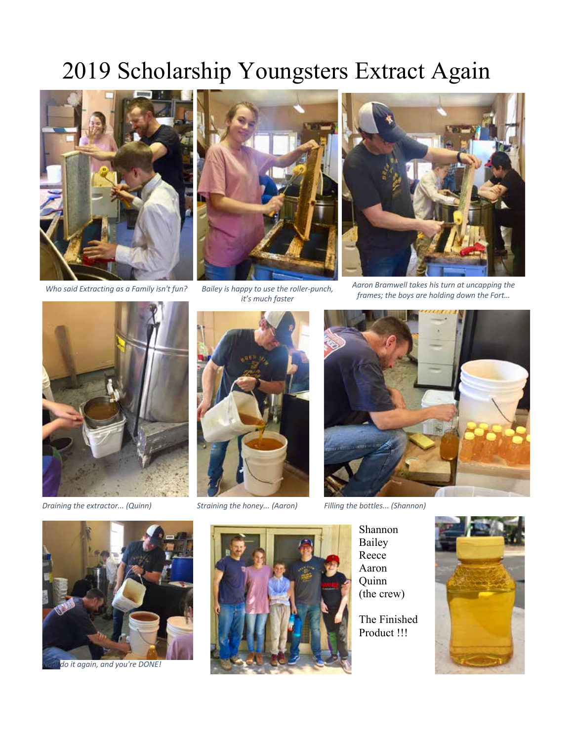## 2019 Scholarship Youngsters Extract Again



*Who said Extracting as a Family isn't fun? Bailey is happy to use the roller-punch,*



*it's much faster*



*Aaron Bramwell takes his turn at uncapping the frames; the boys are holding down the Fort…*



*Draining the extractor... (Quinn) Straining the honey... (Aaron) Filling the bottles... (Shannon)*





Shannon Bailey Reece Aaron Quinn (the crew)

The Finished Product !!!





*Now do it again, and you're DONE!*

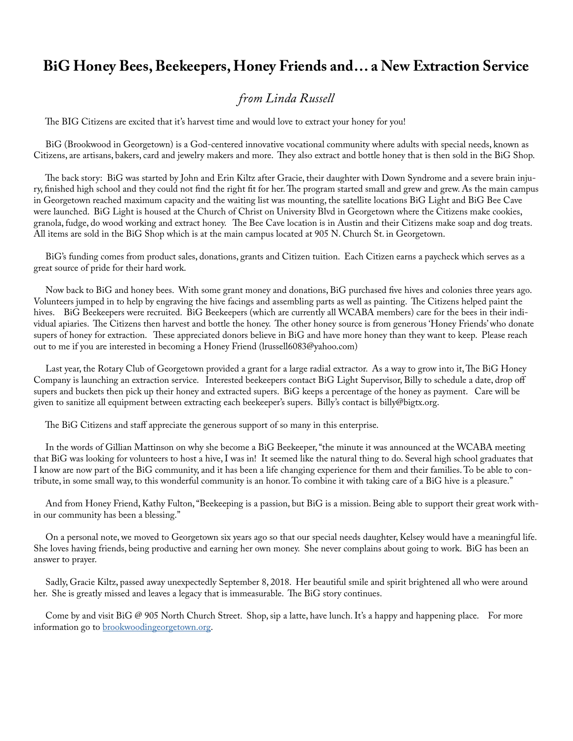#### **BiG Honey Bees, Beekeepers, Honey Friends and… a New Extraction Service**

#### *from Linda Russell*

The BIG Citizens are excited that it's harvest time and would love to extract your honey for you!

 BiG (Brookwood in Georgetown) is a God-centered innovative vocational community where adults with special needs, known as Citizens, are artisans, bakers, card and jewelry makers and more. They also extract and bottle honey that is then sold in the BiG Shop.

 The back story: BiG was started by John and Erin Kiltz after Gracie, their daughter with Down Syndrome and a severe brain injury, finished high school and they could not find the right fit for her. The program started small and grew and grew. As the main campus in Georgetown reached maximum capacity and the waiting list was mounting, the satellite locations BiG Light and BiG Bee Cave were launched. BiG Light is housed at the Church of Christ on University Blvd in Georgetown where the Citizens make cookies, granola, fudge, do wood working and extract honey. The Bee Cave location is in Austin and their Citizens make soap and dog treats. All items are sold in the BiG Shop which is at the main campus located at 905 N. Church St. in Georgetown.

 BiG's funding comes from product sales, donations, grants and Citizen tuition. Each Citizen earns a paycheck which serves as a great source of pride for their hard work.

 Now back to BiG and honey bees. With some grant money and donations, BiG purchased five hives and colonies three years ago. Volunteers jumped in to help by engraving the hive facings and assembling parts as well as painting. The Citizens helped paint the hives. BiG Beekeepers were recruited. BiG Beekeepers (which are currently all WCABA members) care for the bees in their individual apiaries. The Citizens then harvest and bottle the honey. The other honey source is from generous 'Honey Friends' who donate supers of honey for extraction. These appreciated donors believe in BiG and have more honey than they want to keep. Please reach out to me if you are interested in becoming a Honey Friend (lrussell6083@yahoo.com)

 Last year, the Rotary Club of Georgetown provided a grant for a large radial extractor. As a way to grow into it, The BiG Honey Company is launching an extraction service. Interested beekeepers contact BiG Light Supervisor, Billy to schedule a date, drop off supers and buckets then pick up their honey and extracted supers. BiG keeps a percentage of the honey as payment. Care will be given to sanitize all equipment between extracting each beekeeper's supers. Billy's contact is billy@bigtx.org.

The BiG Citizens and staff appreciate the generous support of so many in this enterprise.

 In the words of Gillian Mattinson on why she become a BiG Beekeeper, "the minute it was announced at the WCABA meeting that BiG was looking for volunteers to host a hive, I was in! It seemed like the natural thing to do. Several high school graduates that I know are now part of the BiG community, and it has been a life changing experience for them and their families. To be able to contribute, in some small way, to this wonderful community is an honor. To combine it with taking care of a BiG hive is a pleasure."

 And from Honey Friend, Kathy Fulton, "Beekeeping is a passion, but BiG is a mission. Being able to support their great work within our community has been a blessing."

 On a personal note, we moved to Georgetown six years ago so that our special needs daughter, Kelsey would have a meaningful life. She loves having friends, being productive and earning her own money. She never complains about going to work. BiG has been an answer to prayer.

 Sadly, Gracie Kiltz, passed away unexpectedly September 8, 2018. Her beautiful smile and spirit brightened all who were around her. She is greatly missed and leaves a legacy that is immeasurable. The BiG story continues.

Come by and visit BiG @ 905 North Church Street. Shop, sip a latte, have lunch. It's a happy and happening place. For more information go to **brookwoodingeorgetown.org**.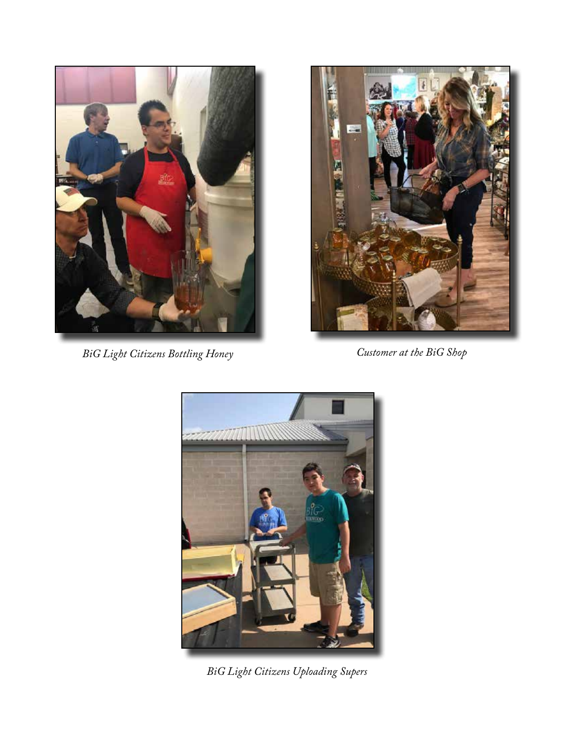

*BiG Light Citizens Bottling Honey Customer at the BiG Shop*





*BiG Light Citizens Uploading Supers*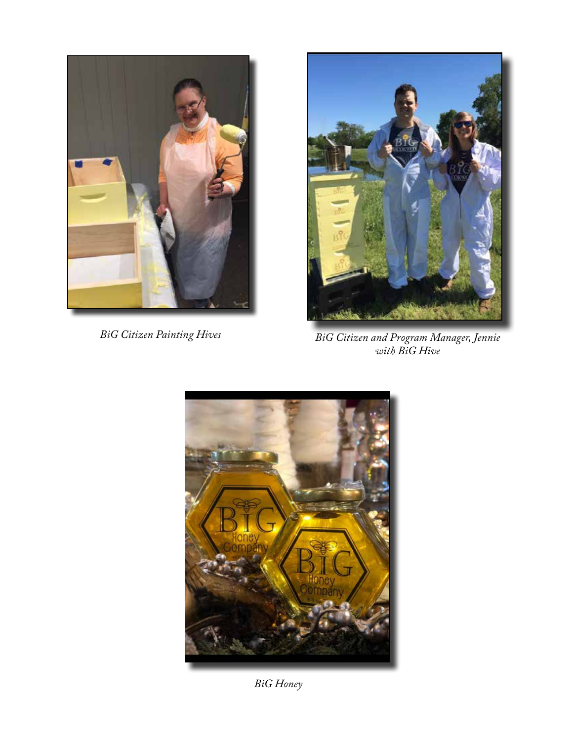



*BiG Citizen Painting Hives BiG Citizen and Program Manager, Jennie with BiG Hive*



*BiG Honey*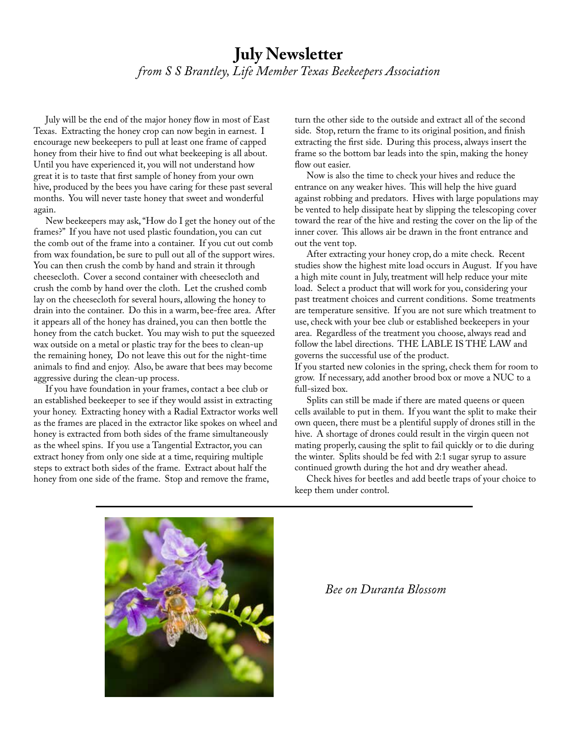#### **July Newsletter** *from S S Brantley, Life Member Texas Beekeepers Association*

 July will be the end of the major honey flow in most of East Texas. Extracting the honey crop can now begin in earnest. I encourage new beekeepers to pull at least one frame of capped honey from their hive to find out what beekeeping is all about. Until you have experienced it, you will not understand how great it is to taste that first sample of honey from your own hive, produced by the bees you have caring for these past several months. You will never taste honey that sweet and wonderful again.

 New beekeepers may ask, "How do I get the honey out of the frames?" If you have not used plastic foundation, you can cut the comb out of the frame into a container. If you cut out comb from wax foundation, be sure to pull out all of the support wires. You can then crush the comb by hand and strain it through cheesecloth. Cover a second container with cheesecloth and crush the comb by hand over the cloth. Let the crushed comb lay on the cheesecloth for several hours, allowing the honey to drain into the container. Do this in a warm, bee-free area. After it appears all of the honey has drained, you can then bottle the honey from the catch bucket. You may wish to put the squeezed wax outside on a metal or plastic tray for the bees to clean-up the remaining honey, Do not leave this out for the night-time animals to find and enjoy. Also, be aware that bees may become aggressive during the clean-up process.

 If you have foundation in your frames, contact a bee club or an established beekeeper to see if they would assist in extracting your honey. Extracting honey with a Radial Extractor works well as the frames are placed in the extractor like spokes on wheel and honey is extracted from both sides of the frame simultaneously as the wheel spins. If you use a Tangential Extractor, you can extract honey from only one side at a time, requiring multiple steps to extract both sides of the frame. Extract about half the honey from one side of the frame. Stop and remove the frame,

turn the other side to the outside and extract all of the second side. Stop, return the frame to its original position, and finish extracting the first side. During this process, always insert the frame so the bottom bar leads into the spin, making the honey flow out easier.

 Now is also the time to check your hives and reduce the entrance on any weaker hives. This will help the hive guard against robbing and predators. Hives with large populations may be vented to help dissipate heat by slipping the telescoping cover toward the rear of the hive and resting the cover on the lip of the inner cover. This allows air be drawn in the front entrance and out the vent top.

 After extracting your honey crop, do a mite check. Recent studies show the highest mite load occurs in August. If you have a high mite count in July, treatment will help reduce your mite load. Select a product that will work for you, considering your past treatment choices and current conditions. Some treatments are temperature sensitive. If you are not sure which treatment to use, check with your bee club or established beekeepers in your area. Regardless of the treatment you choose, always read and follow the label directions. THE LABLE IS THE LAW and governs the successful use of the product.

If you started new colonies in the spring, check them for room to grow. If necessary, add another brood box or move a NUC to a full-sized box.

 Splits can still be made if there are mated queens or queen cells available to put in them. If you want the split to make their own queen, there must be a plentiful supply of drones still in the hive. A shortage of drones could result in the virgin queen not mating properly, causing the split to fail quickly or to die during the winter. Splits should be fed with 2:1 sugar syrup to assure continued growth during the hot and dry weather ahead.

 Check hives for beetles and add beetle traps of your choice to keep them under control.



 *Bee on Duranta Blossom*